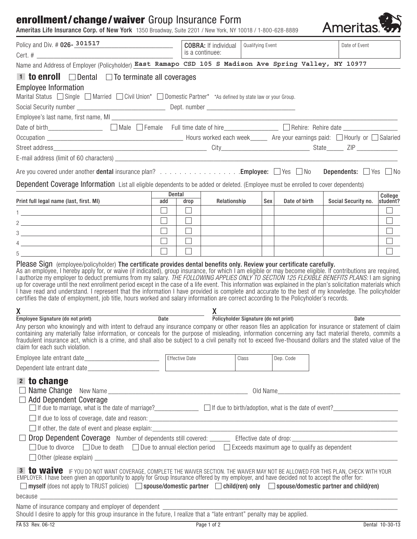# enrollment/change/waiver Group Insurance Form

| <b>enrollment/change/waiver</b> Group Insurance Form<br>Ameritas Life Insurance Corp. of New York 1350 Broadway, Suite 2201 / New York, NY 10018 / 1-800-628-8889                                                                                                                                                                                                                                                                                                                                                                                                                                                                                                                                                |                      |        |                                                |                  |     |               | Ameritas.           |                     |
|------------------------------------------------------------------------------------------------------------------------------------------------------------------------------------------------------------------------------------------------------------------------------------------------------------------------------------------------------------------------------------------------------------------------------------------------------------------------------------------------------------------------------------------------------------------------------------------------------------------------------------------------------------------------------------------------------------------|----------------------|--------|------------------------------------------------|------------------|-----|---------------|---------------------|---------------------|
| Policy and Div. # 026-301517                                                                                                                                                                                                                                                                                                                                                                                                                                                                                                                                                                                                                                                                                     |                      |        | <b>COBRA:</b> If individual<br>is a continuee: | Qualifying Event |     |               | Date of Event       |                     |
| Name and Address of Employer (Policyholder) East Ramapo CSD 105 S Madison Ave Spring Valley, NY 10977                                                                                                                                                                                                                                                                                                                                                                                                                                                                                                                                                                                                            |                      |        |                                                |                  |     |               |                     |                     |
| <b>1 to enroll</b> $\Box$ Dental $\Box$ To terminate all coverages                                                                                                                                                                                                                                                                                                                                                                                                                                                                                                                                                                                                                                               |                      |        |                                                |                  |     |               |                     |                     |
| <b>Employee Information</b><br>Marital Status Single Married Civil Union* Domestic Partner* *As defined by state law or your Group.                                                                                                                                                                                                                                                                                                                                                                                                                                                                                                                                                                              |                      |        |                                                |                  |     |               |                     |                     |
|                                                                                                                                                                                                                                                                                                                                                                                                                                                                                                                                                                                                                                                                                                                  |                      |        |                                                |                  |     |               |                     |                     |
| Date of birth____________________ [ Male   Female Full time date of hire______________ [ Rehire: Rehire date ________________                                                                                                                                                                                                                                                                                                                                                                                                                                                                                                                                                                                    |                      |        |                                                |                  |     |               |                     |                     |
|                                                                                                                                                                                                                                                                                                                                                                                                                                                                                                                                                                                                                                                                                                                  |                      |        |                                                |                  |     |               |                     |                     |
|                                                                                                                                                                                                                                                                                                                                                                                                                                                                                                                                                                                                                                                                                                                  |                      |        |                                                |                  |     |               |                     |                     |
|                                                                                                                                                                                                                                                                                                                                                                                                                                                                                                                                                                                                                                                                                                                  |                      |        |                                                |                  |     |               |                     |                     |
| Are you covered under another dental insurance plan? Employee: $\Box$ Yes $\Box$ No Dependents: $\Box$ Yes $\Box$ No                                                                                                                                                                                                                                                                                                                                                                                                                                                                                                                                                                                             |                      |        |                                                |                  |     |               |                     |                     |
| Dependent Coverage Information List all eligible dependents to be added or deleted. (Employee must be enrolled to cover dependents)                                                                                                                                                                                                                                                                                                                                                                                                                                                                                                                                                                              |                      |        |                                                |                  |     |               |                     |                     |
| Print full legal name (last, first. MI)                                                                                                                                                                                                                                                                                                                                                                                                                                                                                                                                                                                                                                                                          | <b>Dental</b><br>add | drop   | Relationship                                   |                  | Sex | Date of birth | Social Security no. | College<br>student? |
|                                                                                                                                                                                                                                                                                                                                                                                                                                                                                                                                                                                                                                                                                                                  | $\Box$               | $\Box$ |                                                |                  |     |               |                     | $\mathbb{R}^n$      |
| 1 <u>- John Sterne Sterne Sterne Sterne Sterne Sterne</u>                                                                                                                                                                                                                                                                                                                                                                                                                                                                                                                                                                                                                                                        |                      | $\Box$ |                                                |                  |     |               |                     |                     |
| $2 \overline{2}$                                                                                                                                                                                                                                                                                                                                                                                                                                                                                                                                                                                                                                                                                                 |                      | $\Box$ |                                                |                  |     |               |                     |                     |
| $\begin{tabular}{c} 3 & \begin{tabular}{@{}c@{}} \end{tabular} \end{tabular}$                                                                                                                                                                                                                                                                                                                                                                                                                                                                                                                                                                                                                                    |                      |        |                                                |                  |     |               |                     |                     |
|                                                                                                                                                                                                                                                                                                                                                                                                                                                                                                                                                                                                                                                                                                                  | $\Box$               | $\Box$ |                                                |                  |     |               |                     |                     |
|                                                                                                                                                                                                                                                                                                                                                                                                                                                                                                                                                                                                                                                                                                                  |                      | $\Box$ |                                                |                  |     |               |                     |                     |
| I authorize my employer to deduct premiums from my salary. THE FOLLOWING APPLIES ONLY TO SECTION 125 FLEXIBLE BENEFITS PLANS: I am signing<br>up for coverage until the next enrollment period except in the case of a life event. This information was explained in the plan's solicitation materials which<br>I have read and understand. I represent that the information I have provided is complete and accurate to the best of my knowledge. The policyholder<br>certifies the date of employment, job title, hours worked and salary information are correct according to the Policyholder's records.<br>X<br>Employee Signature (do not print) Date Date Policyholder Signature (do not print) Date Date |                      |        |                                                |                  |     |               |                     |                     |
| Any person who knowingly and with intent to defraud any insurance company or other reason files an application for insurance or statement of claim<br>containing any materially false information, or conceals for the purpose of misleading, information concerning any fact material thereto, commits a<br>fraudulent insurance act, which is a crime, and shall also be subject to a civil penalty not to exceed five-thousand dollars and the stated value of the<br>claim for each such violation.                                                                                                                                                                                                          |                      |        |                                                |                  |     |               |                     |                     |
| Employee late entrant date___________________________________ Effective Date                                                                                                                                                                                                                                                                                                                                                                                                                                                                                                                                                                                                                                     |                      |        |                                                | Class            |     | Dep. Code     |                     |                     |
|                                                                                                                                                                                                                                                                                                                                                                                                                                                                                                                                                                                                                                                                                                                  |                      |        |                                                |                  |     |               |                     |                     |
| 2 to change<br>Add Dependent Coverage                                                                                                                                                                                                                                                                                                                                                                                                                                                                                                                                                                                                                                                                            |                      |        |                                                |                  |     |               |                     |                     |
|                                                                                                                                                                                                                                                                                                                                                                                                                                                                                                                                                                                                                                                                                                                  |                      |        |                                                |                  |     |               |                     |                     |
|                                                                                                                                                                                                                                                                                                                                                                                                                                                                                                                                                                                                                                                                                                                  |                      |        |                                                |                  |     |               |                     |                     |
| $\Box$ Due to divorce $\Box$ Due to death $\Box$ Due to annual election period $\Box$ Exceeds maximum age to qualify as dependent                                                                                                                                                                                                                                                                                                                                                                                                                                                                                                                                                                                |                      |        |                                                |                  |     |               |                     |                     |
| 3   to waive IF YOU DO NOT WANT COVERAGE, COMPLETE THE WAIVER SECTION. THE WAIVER MAY NOT BE ALLOWED FOR THIS PLAN, CHECK WITH YOUR<br>EMPLOYER. I have been given an opportunity to apply for Group Insurance offered by my employer, and have decided not to accept the offer for:<br>myself (does not apply to TRUST policies) spouse/domestic partner did (ren) only spouse/domestic partner and child(ren)                                                                                                                                                                                                                                                                                                  |                      |        |                                                |                  |     |               |                     |                     |
|                                                                                                                                                                                                                                                                                                                                                                                                                                                                                                                                                                                                                                                                                                                  |                      |        |                                                |                  |     |               |                     |                     |
| Name of insurance company and employer of dependent ____________________________<br>ivarie or insurance company and employer of dependent <u>equal predicts</u> that a "late entrant" penalty may be applied.<br>Should I desire to apply for this group insurance in the future, I realize that a "late entrant" penalty                                                                                                                                                                                                                                                                                                                                                                                        |                      |        |                                                |                  |     |               |                     |                     |
| FA 53 Rev. 06-12                                                                                                                                                                                                                                                                                                                                                                                                                                                                                                                                                                                                                                                                                                 |                      |        | Page 1 of 2                                    |                  |     |               |                     | Dental 10-30-13     |